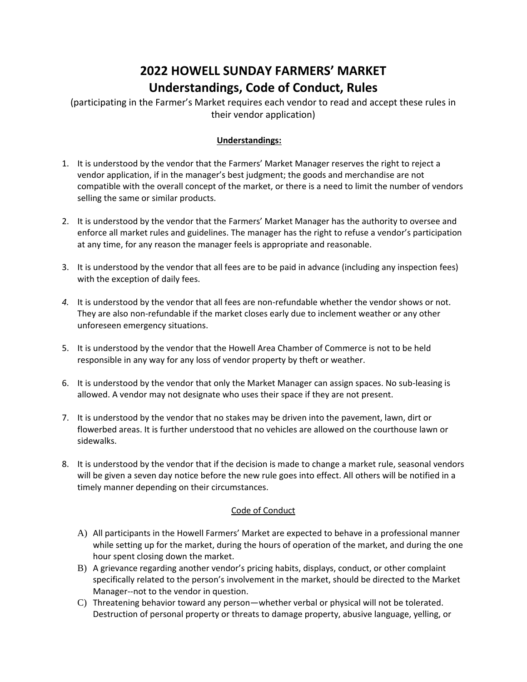## **2022 HOWELL SUNDAY FARMERS' MARKET Understandings, Code of Conduct, Rules**

(participating in the Farmer's Market requires each vendor to read and accept these rules in their vendor application)

## **Understandings:**

- 1. It is understood by the vendor that the Farmers' Market Manager reserves the right to reject a vendor application, if in the manager's best judgment; the goods and merchandise are not compatible with the overall concept of the market, or there is a need to limit the number of vendors selling the same or similar products.
- 2. It is understood by the vendor that the Farmers' Market Manager has the authority to oversee and enforce all market rules and guidelines. The manager has the right to refuse a vendor's participation at any time, for any reason the manager feels is appropriate and reasonable.
- 3. It is understood by the vendor that all fees are to be paid in advance (including any inspection fees) with the exception of daily fees.
- *4.* It is understood by the vendor that all fees are non-refundable whether the vendor shows or not. They are also non-refundable if the market closes early due to inclement weather or any other unforeseen emergency situations.
- 5. It is understood by the vendor that the Howell Area Chamber of Commerce is not to be held responsible in any way for any loss of vendor property by theft or weather.
- 6. It is understood by the vendor that only the Market Manager can assign spaces. No sub-leasing is allowed. A vendor may not designate who uses their space if they are not present.
- 7. It is understood by the vendor that no stakes may be driven into the pavement, lawn, dirt or flowerbed areas. It is further understood that no vehicles are allowed on the courthouse lawn or sidewalks.
- 8. It is understood by the vendor that if the decision is made to change a market rule, seasonal vendors will be given a seven day notice before the new rule goes into effect. All others will be notified in a timely manner depending on their circumstances.

## Code of Conduct

- A) All participants in the Howell Farmers' Market are expected to behave in a professional manner while setting up for the market, during the hours of operation of the market, and during the one hour spent closing down the market.
- B) A grievance regarding another vendor's pricing habits, displays, conduct, or other complaint specifically related to the person's involvement in the market, should be directed to the Market Manager--not to the vendor in question.
- C) Threatening behavior toward any person—whether verbal or physical will not be tolerated. Destruction of personal property or threats to damage property, abusive language, yelling, or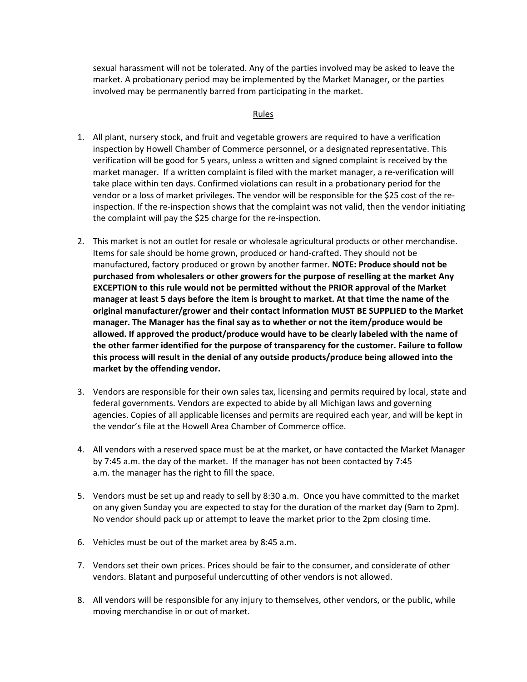sexual harassment will not be tolerated. Any of the parties involved may be asked to leave the market. A probationary period may be implemented by the Market Manager, or the parties involved may be permanently barred from participating in the market.

## Rules

- 1. All plant, nursery stock, and fruit and vegetable growers are required to have a verification inspection by Howell Chamber of Commerce personnel, or a designated representative. This verification will be good for 5 years, unless a written and signed complaint is received by the market manager. If a written complaint is filed with the market manager, a re-verification will take place within ten days. Confirmed violations can result in a probationary period for the vendor or a loss of market privileges. The vendor will be responsible for the \$25 cost of the reinspection. If the re-inspection shows that the complaint was not valid, then the vendor initiating the complaint will pay the \$25 charge for the re-inspection.
- 2. This market is not an outlet for resale or wholesale agricultural products or other merchandise. Items for sale should be home grown, produced or hand-crafted. They should not be manufactured, factory produced or grown by another farmer. **NOTE: Produce should not be purchased from wholesalers or other growers for the purpose of reselling at the market Any EXCEPTION to this rule would not be permitted without the PRIOR approval of the Market manager at least 5 days before the item is brought to market. At that time the name of the original manufacturer/grower and their contact information MUST BE SUPPLIED to the Market manager. The Manager has the final say as to whether or not the item/produce would be allowed. If approved the product/produce would have to be clearly labeled with the name of the other farmer identified for the purpose of transparency for the customer. Failure to follow this process will result in the denial of any outside products/produce being allowed into the market by the offending vendor.**
- 3. Vendors are responsible for their own sales tax, licensing and permits required by local, state and federal governments. Vendors are expected to abide by all Michigan laws and governing agencies. Copies of all applicable licenses and permits are required each year, and will be kept in the vendor's file at the Howell Area Chamber of Commerce office.
- 4. All vendors with a reserved space must be at the market, or have contacted the Market Manager by 7:45 a.m. the day of the market. If the manager has not been contacted by 7:45 a.m. the manager has the right to fill the space.
- 5. Vendors must be set up and ready to sell by 8:30 a.m. Once you have committed to the market on any given Sunday you are expected to stay for the duration of the market day (9am to 2pm). No vendor should pack up or attempt to leave the market prior to the 2pm closing time.
- 6. Vehicles must be out of the market area by 8:45 a.m.
- 7. Vendors set their own prices. Prices should be fair to the consumer, and considerate of other vendors. Blatant and purposeful undercutting of other vendors is not allowed.
- 8. All vendors will be responsible for any injury to themselves, other vendors, or the public, while moving merchandise in or out of market.